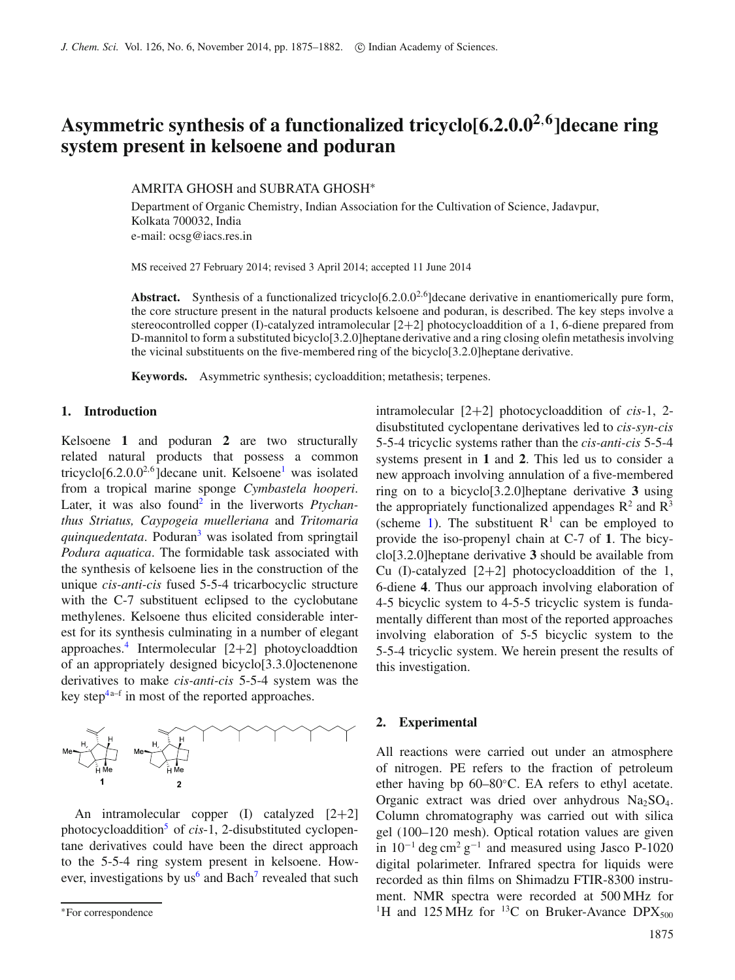# **Asymmetric synthesis of a functionalized tricyclo[6.2.0.02**,**6]decane ring system present in kelsoene and poduran**

AMRITA GHOSH and SUBRATA GHOSH∗

Department of Organic Chemistry, Indian Association for the Cultivation of Science, Jadavpur, Kolkata 700032, India e-mail: ocsg@iacs.res.in

MS received 27 February 2014; revised 3 April 2014; accepted 11 June 2014

Abstract. Synthesis of a functionalized tricyclo<sup>[6.2.0.0<sup>2,6</sup>] decane derivative in enantiomerically pure form,</sup> the core structure present in the natural products kelsoene and poduran, is described. The key steps involve a stereocontrolled copper (I)-catalyzed intramolecular [2+2] photocycloaddition of a 1, 6-diene prepared from D-mannitol to form a substituted bicyclo[3.2.0]heptane derivative and a ring closing olefin metathesis involving the vicinal substituents on the five-membered ring of the bicyclo[3.2.0]heptane derivative.

**Keywords.** Asymmetric synthesis; cycloaddition; metathesis; terpenes.

### **1. Introduction**

Kelsoene **1** and poduran **2** are two structurally related natural products that possess a common tricyclo $[6.2.0.0^{2.6}]$ decane unit. Kelsoene<sup>1</sup> was isolated from a tropical marine sponge *Cymbastela hooperi*. Later, it was also found<sup>2</sup> in the liverworts *Ptychanthus Striatus, Caypogeia muelleriana* and *Tritomaria quinquedentata*. Poduran<sup>3</sup> was isolated from springtail *Podura aquatica*. The formidable task associated with the synthesis of kelsoene lies in the construction of the unique *cis-anti-cis* fused 5-5-4 tricarbocyclic structure with the C-7 substituent eclipsed to the cyclobutane methylenes. Kelsoene thus elicited considerable interest for its synthesis culminating in a number of elegant approaches.<sup>4</sup> Intermolecular  $[2+2]$  photoycloaddtion of an appropriately designed bicyclo[3.3.0]octenenone derivatives to make *cis-anti-cis* 5-5-4 system was the key step<sup>4a–f</sup> in most of the reported approaches.



An intramolecular copper  $(I)$  catalyzed  $[2+2]$ photocycloadditio[n5](#page-7-4) of *cis*-1, 2-disubstituted cyclopentane derivatives could have been the direct approach to the 5-5-4 ring system present in kelsoene. However, investigations by  $us^6$  and Bach<sup>7</sup> revealed that such intramolecular [2+2] photocycloaddition of *cis*-1, 2 disubstituted cyclopentane derivatives led to *cis-syn-cis* 5-5-4 tricyclic systems rather than the *cis-anti-cis* 5-5-4 systems present in **1** and **2**. This led us to consider a new approach involving annulation of a five-membered ring on to a bicyclo[3.2.0]heptane derivative **3** using the appropriately functionalized appendages  $R^2$  and  $R^3$ (scheme [1\)](#page-1-0). The substituent  $R<sup>1</sup>$  can be employed to provide the iso-propenyl chain at C-7 of **1**. The bicyclo[3.2.0]heptane derivative **3** should be available from Cu (I)-catalyzed  $[2+2]$  photocycloaddition of the 1, 6-diene **4**. Thus our approach involving elaboration of 4-5 bicyclic system to 4-5-5 tricyclic system is fundamentally different than most of the reported approaches involving elaboration of 5-5 bicyclic system to the 5-5-4 tricyclic system. We herein present the results of this investigation.

#### **2. Experimental**

All reactions were carried out under an atmosphere of nitrogen. PE refers to the fraction of petroleum ether having bp 60–80◦C. EA refers to ethyl acetate. Organic extract was dried over anhydrous  $Na<sub>2</sub>SO<sub>4</sub>$ . Column chromatography was carried out with silica gel (100–120 mesh). Optical rotation values are given in  $10^{-1}$  deg cm<sup>2</sup> g<sup>-1</sup> and measured using Jasco P-1020 digital polarimeter. Infrared spectra for liquids were recorded as thin films on Shimadzu FTIR-8300 instrument. NMR spectra were recorded at 500 MHz for <sup>1</sup>H and 125 MHz for <sup>13</sup>C on Bruker-Avance DPX<sub>500</sub>

<sup>∗</sup>For correspondence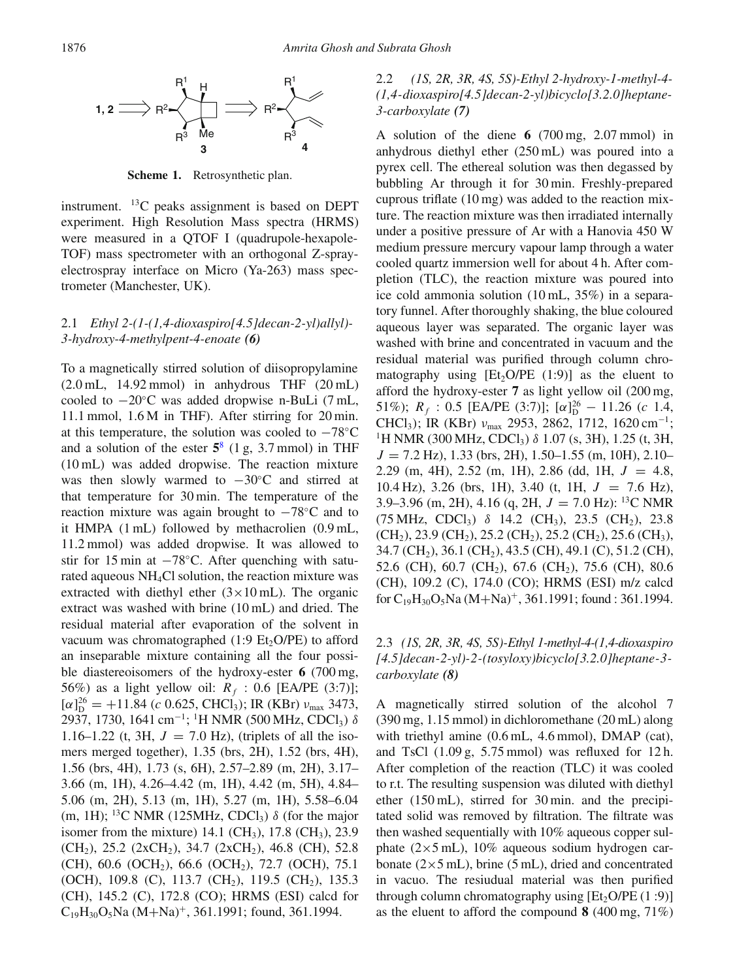

<span id="page-1-0"></span>**Scheme 1.** Retrosynthetic plan.

instrument. 13C peaks assignment is based on DEPT experiment. High Resolution Mass spectra (HRMS) were measured in a QTOF I (quadrupole-hexapole-TOF) mass spectrometer with an orthogonal Z-sprayelectrospray interface on Micro (Ya-263) mass spectrometer (Manchester, UK).

## 2.1 *Ethyl 2-(1-(1,4-dioxaspiro[4.5]decan-2-yl)allyl)- 3-hydroxy-4-methylpent-4-enoate (6)*

To a magnetically stirred solution of diisopropylamine  $(2.0 \text{ mL}, 14.92 \text{ mmol})$  in anhydrous THF  $(20 \text{ mL})$ cooled to −20◦C was added dropwise n-BuLi (7 mL, 11.1 mmol, 1.6 M in THF). After stirring for 20 min. at this temperature, the solution was cooled to  $-78°C$ and a solution of the ester **5**[8](#page-7-7) (1 g, 3.7 mmol) in THF (10 mL) was added dropwise. The reaction mixture was then slowly warmed to  $-30$ °C and stirred at that temperature for 30 min. The temperature of the reaction mixture was again brought to −78◦C and to it HMPA (1 mL) followed by methacrolien (0.9 mL, 11.2 mmol) was added dropwise. It was allowed to stir for 15 min at  $-78°C$ . After quenching with saturated aqueous NH4Cl solution, the reaction mixture was extracted with diethyl ether  $(3 \times 10 \text{ mL})$ . The organic extract was washed with brine (10 mL) and dried. The residual material after evaporation of the solvent in vacuum was chromatographed  $(1:9 \text{ Et}_2\text{O/PE})$  to afford an inseparable mixture containing all the four possible diastereoisomers of the hydroxy-ester **6** (700 mg, 56%) as a light yellow oil:  $R_f$  : 0.6 [EA/PE (3:7)];  $[\alpha]_D^{26} = +11.84$  (c 0.625, CHCl<sub>3</sub>); IR (KBr)  $v_{\text{max}}$  3473, 2937, 1730, 1641 cm<sup>-1</sup>; <sup>1</sup>H NMR (500 MHz, CDCl<sub>3</sub>)  $\delta$ 1.16–1.22 (t, 3H,  $J = 7.0$  Hz), (triplets of all the isomers merged together), 1.35 (brs, 2H), 1.52 (brs, 4H), 1.56 (brs, 4H), 1.73 (s, 6H), 2.57–2.89 (m, 2H), 3.17– 3.66 (m, 1H), 4.26–4.42 (m, 1H), 4.42 (m, 5H), 4.84– 5.06 (m, 2H), 5.13 (m, 1H), 5.27 (m, 1H), 5.58–6.04 (m, 1H); <sup>13</sup>C NMR (125MHz, CDCl<sub>3</sub>)  $\delta$  (for the major isomer from the mixture)  $14.1$  (CH<sub>3</sub>),  $17.8$  (CH<sub>3</sub>),  $23.9$  $(CH_2)$ , 25.2 (2xCH<sub>2</sub>), 34.7 (2xCH<sub>2</sub>), 46.8 (CH), 52.8 (CH), 60.6 (OCH<sub>2</sub>), 66.6 (OCH<sub>2</sub>), 72.7 (OCH), 75.1 (OCH), 109.8 (C), 113.7 (CH<sub>2</sub>), 119.5 (CH<sub>2</sub>), 135.3 (CH), 145.2 (C), 172.8 (CO); HRMS (ESI) calcd for  $C_{19}H_{30}O_5$ Na  $(M+Na)^+$ , 361.1991; found, 361.1994.

# 2.2 *(1S, 2R, 3R, 4S, 5S)-Ethyl 2-hydroxy-1-methyl-4- (1,4-dioxaspiro[4.5]decan-2-yl)bicyclo[3.2.0]heptane-3-carboxylate (7)*

A solution of the diene **6** (700 mg, 2.07 mmol) in anhydrous diethyl ether (250 mL) was poured into a pyrex cell. The ethereal solution was then degassed by bubbling Ar through it for 30 min. Freshly-prepared cuprous triflate (10 mg) was added to the reaction mixture. The reaction mixture was then irradiated internally under a positive pressure of Ar with a Hanovia 450 W medium pressure mercury vapour lamp through a water cooled quartz immersion well for about 4 h. After completion (TLC), the reaction mixture was poured into ice cold ammonia solution (10 mL, 35%) in a separatory funnel. After thoroughly shaking, the blue coloured aqueous layer was separated. The organic layer was washed with brine and concentrated in vacuum and the residual material was purified through column chromatography using  $[Et_2O/PE (1:9)]$  as the eluent to afford the hydroxy-ester **7** as light yellow oil (200 mg, 51%);  $R_f$  : 0.5 [EA/PE (3:7)]; [ $\alpha$ ] $^{26}_{D}$  – 11.26 (c 1.4, CHCl<sub>3</sub>); IR (KBr)  $v_{\text{max}}$  2953, 2862, 1712, 1620 cm<sup>-1</sup>; <sup>1</sup>H NMR (300 MHz, CDCl<sub>3</sub>) δ 1.07 (s, 3H), 1.25 (t, 3H,  $J = 7.2$  Hz), 1.33 (brs, 2H), 1.50–1.55 (m, 10H), 2.10– 2.29 (m, 4H), 2.52 (m, 1H), 2.86 (dd, 1H,  $J = 4.8$ , 10.4 Hz), 3.26 (brs, 1H), 3.40 (t, 1H,  $J = 7.6$  Hz), 3.9–3.96 (m, 2H), 4.16 (q, 2H,  $J = 7.0$  Hz): <sup>13</sup>C NMR (75 MHz, CDCl<sub>3</sub>)  $\delta$  14.2 (CH<sub>3</sub>), 23.5 (CH<sub>2</sub>), 23.8  $(CH<sub>2</sub>), 23.9$  (CH<sub>2</sub>), 25.2 (CH<sub>2</sub>), 25.2 (CH<sub>2</sub>), 25.6 (CH<sub>3</sub>), 34.7 (CH<sub>2</sub>), 36.1 (CH<sub>2</sub>), 43.5 (CH), 49.1 (C), 51.2 (CH), 52.6 (CH), 60.7 (CH<sub>2</sub>), 67.6 (CH<sub>2</sub>), 75.6 (CH), 80.6 (CH), 109.2 (C), 174.0 (CO); HRMS (ESI) m/z calcd for  $C_{19}H_{30}O_5$ Na  $(M+Na)^+$ , 361.1991; found : 361.1994.

2.3 *(1S, 2R, 3R, 4S, 5S)-Ethyl 1-methyl-4-(1,4-dioxaspiro [4.5]decan-2-yl)-2-(tosyloxy)bicyclo[3.2.0]heptane-3 carboxylate (8)*

A magnetically stirred solution of the alcohol 7 (390 mg, 1.15 mmol) in dichloromethane (20 mL) along with triethyl amine (0.6 mL, 4.6 mmol), DMAP (cat), and TsCl (1.09 g, 5.75 mmol) was refluxed for 12 h. After completion of the reaction (TLC) it was cooled to r.t. The resulting suspension was diluted with diethyl ether (150 mL), stirred for 30 min. and the precipitated solid was removed by filtration. The filtrate was then washed sequentially with 10% aqueous copper sulphate  $(2\times5$  mL), 10% aqueous sodium hydrogen carbonate  $(2\times5$  mL), brine (5 mL), dried and concentrated in vacuo. The resiudual material was then purified through column chromatography using  $[Et_2O/PE (1:9)]$ as the eluent to afford the compound **8** (400 mg, 71%)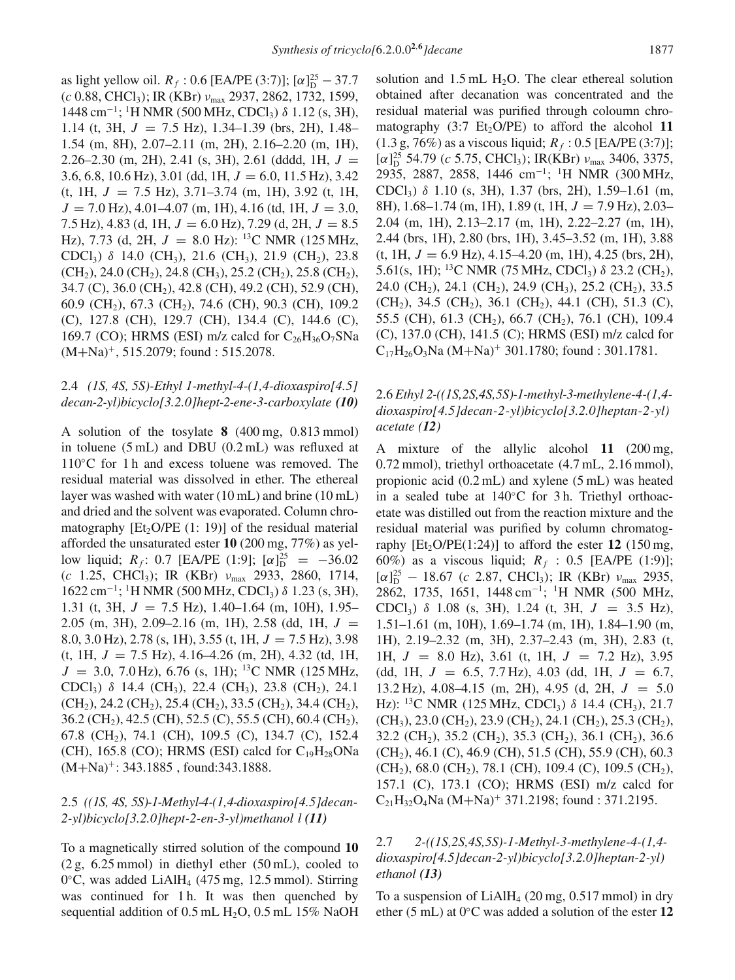as light yellow oil.  $R_f$ : 0.6 [EA/PE (3:7)]; [ $\alpha$ ] $_{\text{D}}^{25}$  – 37.7 (c 0.88, CHCl3); IR (KBr) νmax 2937, 2862, 1732, 1599, 1448 cm−1; <sup>1</sup> H NMR (500 MHz, CDCl3) δ 1.12 (s, 3H), 1.14 (t, 3H,  $J = 7.5$  Hz), 1.34–1.39 (brs, 2H), 1.48– 1.54 (m, 8H), 2.07–2.11 (m, 2H), 2.16–2.20 (m, 1H), 2.26–2.30 (m, 2H), 2.41 (s, 3H), 2.61 (dddd, 1H,  $J =$ 3.6, 6.8, 10.6 Hz), 3.01 (dd, 1H,  $J = 6.0$ , 11.5 Hz), 3.42  $(t, 1H, J = 7.5 Hz)$ , 3.71–3.74 (m, 1H), 3.92 (t, 1H,  $J = 7.0$  Hz), 4.01–4.07 (m, 1H), 4.16 (td, 1H,  $J = 3.0$ , 7.5 Hz), 4.83 (d, 1H,  $J = 6.0$  Hz), 7.29 (d, 2H,  $J = 8.5$ Hz), 7.73 (d, 2H,  $J = 8.0$  Hz): <sup>13</sup>C NMR (125 MHz, CDCl<sub>3</sub>)  $\delta$  14.0 (CH<sub>3</sub>), 21.6 (CH<sub>3</sub>), 21.9 (CH<sub>2</sub>), 23.8  $(CH<sub>2</sub>), 24.0$  (CH<sub>2</sub>), 24.8 (CH<sub>3</sub>), 25.2 (CH<sub>2</sub>), 25.8 (CH<sub>2</sub>), 34.7 (C), 36.0 (CH<sub>2</sub>), 42.8 (CH), 49.2 (CH), 52.9 (CH), 60.9 (CH2), 67.3 (CH2), 74.6 (CH), 90.3 (CH), 109.2 (C), 127.8 (CH), 129.7 (CH), 134.4 (C), 144.6 (C), 169.7 (CO); HRMS (ESI) m/z calcd for  $C_{26}H_{36}O_7S$ Na  $(M+Na)^{+}$ , 515.2079; found : 515.2078.

### 2.4 *(1S, 4S, 5S)-Ethyl 1-methyl-4-(1,4-dioxaspiro[4.5] decan-2-yl)bicyclo[3.2.0]hept-2-ene-3-carboxylate (10)*

A solution of the tosylate **8** (400 mg, 0.813 mmol) in toluene (5 mL) and DBU (0.2 mL) was refluxed at 110◦C for 1 h and excess toluene was removed. The residual material was dissolved in ether. The ethereal layer was washed with water (10 mL) and brine (10 mL) and dried and the solvent was evaporated. Column chromatography [Et<sub>2</sub>O/PE  $(1: 19)$ ] of the residual material afforded the unsaturated ester **10** (200 mg, 77%) as yellow liquid;  $R_f$ : 0.7 [EA/PE (1:9];  $[\alpha]_D^{25} = -36.02$ (c 1.25, CHCl<sub>3</sub>); IR (KBr)  $v_{\text{max}}$  2933, 2860, 1714,  $1622$  cm<sup>-1</sup>; <sup>1</sup>H NMR (500 MHz, CDCl<sub>3</sub>) δ 1.23 (s, 3H), 1.31 (t, 3H,  $J = 7.5$  Hz), 1.40–1.64 (m, 10H), 1.95– 2.05 (m, 3H), 2.09–2.16 (m, 1H), 2.58 (dd, 1H,  $J =$ 8.0, 3.0 Hz), 2.78 (s, 1H), 3.55 (t, 1H,  $J = 7.5$  Hz), 3.98 (t, 1H,  $J = 7.5$  Hz), 4.16–4.26 (m, 2H), 4.32 (td, 1H,  $J = 3.0, 7.0$  Hz), 6.76 (s, 1H); <sup>13</sup>C NMR (125 MHz, CDCl<sub>3</sub>)  $\delta$  14.4 (CH<sub>3</sub>), 22.4 (CH<sub>3</sub>), 23.8 (CH<sub>2</sub>), 24.1  $(CH<sub>2</sub>), 24.2 (CH<sub>2</sub>), 25.4 (CH<sub>2</sub>), 33.5 (CH<sub>2</sub>), 34.4 (CH<sub>2</sub>),$  $36.2$  (CH<sub>2</sub>), 42.5 (CH), 52.5 (C), 55.5 (CH), 60.4 (CH<sub>2</sub>), 67.8 (CH2), 74.1 (CH), 109.5 (C), 134.7 (C), 152.4 (CH), 165.8 (CO); HRMS (ESI) calcd for  $C_{19}H_{28}ONa$  $(M+Na)^{+}$ : 343.1885, found: 343.1888.

## 2.5 *((1S, 4S, 5S)-1-Methyl-4-(1,4-dioxaspiro[4.5]decan-2-yl)bicyclo[3.2.0]hept-2-en-3-yl)methanol l (11)*

To a magnetically stirred solution of the compound **10** (2 g, 6.25 mmol) in diethyl ether (50 mL), cooled to 0 $\degree$ C, was added LiAlH<sub>4</sub> (475 mg, 12.5 mmol). Stirring was continued for 1 h. It was then quenched by sequential addition of  $0.5$  mL  $H<sub>2</sub>O$ ,  $0.5$  mL  $15\%$  NaOH solution and  $1.5 \text{ mL H}_2\text{O}$ . The clear ethereal solution obtained after decanation was concentrated and the residual material was purified through coloumn chromatography  $(3:7 \text{ Et}_2O/PE)$  to afford the alcohol 11  $(1.3 \text{ g}, 76\%)$  as a viscous liquid;  $R_f : 0.5$  [EA/PE (3:7)];  $[\alpha]_D^{25}$  54.79 (c 5.75, CHCl<sub>3</sub>); IR(KBr)  $\nu_{\text{max}}$  3406, 3375, 2935, 2887, 2858, 1446 cm−1; <sup>1</sup> H NMR (300 MHz, CDCl<sub>3</sub>)  $\delta$  1.10 (s, 3H), 1.37 (brs, 2H), 1.59–1.61 (m, 8H),  $1.68-1.74$  (m, 1H),  $1.89$  (t, 1H,  $J = 7.9$  Hz),  $2.03-$ 2.04 (m, 1H), 2.13–2.17 (m, 1H), 2.22–2.27 (m, 1H), 2.44 (brs, 1H), 2.80 (brs, 1H), 3.45–3.52 (m, 1H), 3.88  $(t, 1H, J = 6.9 \text{ Hz})$ , 4.15–4.20 (m, 1H), 4.25 (brs, 2H), 5.61(s, 1H); <sup>13</sup>C NMR (75 MHz, CDCl<sub>3</sub>)  $\delta$  23.2 (CH<sub>2</sub>), 24.0 (CH<sub>2</sub>), 24.1 (CH<sub>2</sub>), 24.9 (CH<sub>3</sub>), 25.2 (CH<sub>2</sub>), 33.5  $(CH_2)$ , 34.5  $(CH_2)$ , 36.1  $(CH_2)$ , 44.1  $(CH)$ , 51.3  $(C)$ , 55.5 (CH), 61.3 (CH<sub>2</sub>), 66.7 (CH<sub>2</sub>), 76.1 (CH), 109.4 (C), 137.0 (CH), 141.5 (C); HRMS (ESI) m/z calcd for  $C_{17}H_{26}O_3$ Na (M+Na)<sup>+</sup> 301.1780; found : 301.1781.

# 2.6 *Ethyl 2-((1S,2S,4S,5S)-1-methyl-3-methylene-4-(1,4 dioxaspiro[4.5]decan-2-yl)bicyclo[3.2.0]heptan-2-yl) acetate (12)*

A mixture of the allylic alcohol **11** (200 mg, 0.72 mmol), triethyl orthoacetate (4.7 mL, 2.16 mmol), propionic acid (0.2 mL) and xylene (5 mL) was heated in a sealed tube at 140◦C for 3 h. Triethyl orthoacetate was distilled out from the reaction mixture and the residual material was purified by column chromatography  $[Et_2O/PE(1:24)]$  to afford the ester 12 (150 mg, 60%) as a viscous liquid;  $R_f$  : 0.5 [EA/PE (1:9)];  $[\alpha]_D^{25}$  – 18.67 (c 2.87, CHCl<sub>3</sub>); IR (KBr)  $v_{\text{max}}$  2935, 2862, 1735, 1651, 1448 cm<sup>-1</sup>; <sup>1</sup>H NMR (500 MHz, CDCl<sub>3</sub>)  $\delta$  1.08 (s, 3H), 1.24 (t, 3H,  $J = 3.5$  Hz), 1.51–1.61 (m, 10H), 1.69–1.74 (m, 1H), 1.84–1.90 (m, 1H), 2.19–2.32 (m, 3H), 2.37–2.43 (m, 3H), 2.83 (t, 1H,  $J = 8.0$  Hz), 3.61 (t, 1H,  $J = 7.2$  Hz), 3.95 (dd, 1H,  $J = 6.5, 7.7$  Hz), 4.03 (dd, 1H,  $J = 6.7$ , 13.2 Hz), 4.08–4.15 (m, 2H), 4.95 (d, 2H,  $J = 5.0$ Hz): <sup>13</sup>C NMR (125 MHz, CDCl<sub>3</sub>) δ 14.4 (CH<sub>3</sub>), 21.7  $(CH_3)$ , 23.0 (CH<sub>2</sub>), 23.9 (CH<sub>2</sub>), 24.1 (CH<sub>2</sub>), 25.3 (CH<sub>2</sub>), 32.2 (CH<sub>2</sub>), 35.2 (CH<sub>2</sub>), 35.3 (CH<sub>2</sub>), 36.1 (CH<sub>2</sub>), 36.6  $(CH<sub>2</sub>), 46.1$  (C), 46.9 (CH), 51.5 (CH), 55.9 (CH), 60.3  $(CH<sub>2</sub>), 68.0$  (CH<sub>2</sub>), 78.1 (CH), 109.4 (C), 109.5 (CH<sub>2</sub>), 157.1 (C), 173.1 (CO); HRMS (ESI) m/z calcd for  $C_{21}H_{32}O_4$ Na  $(M+Na)^+$  371.2198; found : 371.2195.

## 2.7 *2-((1S,2S,4S,5S)-1-Methyl-3-methylene-4-(1,4 dioxaspiro[4.5]decan-2-yl)bicyclo[3.2.0]heptan-2-yl) ethanol (13)*

To a suspension of  $LiAlH<sub>4</sub>$  (20 mg, 0.517 mmol) in dry ether (5 mL) at 0◦C was added a solution of the ester **12**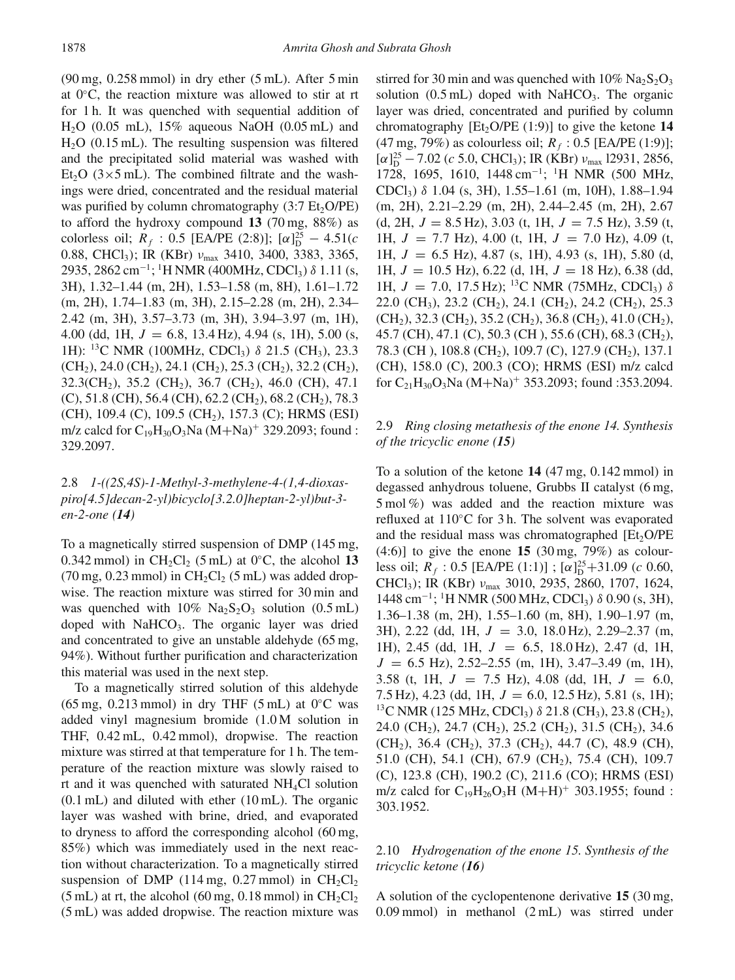$(90 \text{ mg}, 0.258 \text{ mmol})$  in dry ether  $(5 \text{ mL})$ . After  $5 \text{ min}$ at 0◦C, the reaction mixture was allowed to stir at rt for 1 h. It was quenched with sequential addition of  $H<sub>2</sub>O$  (0.05 mL), 15% aqueous NaOH (0.05 mL) and  $H<sub>2</sub>O$  (0.15 mL). The resulting suspension was filtered and the precipitated solid material was washed with Et<sub>2</sub>O ( $3 \times 5$  mL). The combined filtrate and the washings were dried, concentrated and the residual material was purified by column chromatography  $(3:7 \text{ Et}_2\text{O/PE})$ to afford the hydroxy compound **13** (70 mg, 88%) as colorless oil;  $R_f$ : 0.5 [EA/PE (2:8)];  $[\alpha]_D^{25} - 4.51(c)$ 0.88, CHCl<sub>3</sub>); IR (KBr) ν<sub>max</sub> 3410, 3400, 3383, 3365, 2935, 2862 cm−1; 1H NMR (400MHz, CDCl3) δ 1.11 (s, 3H), 1.32–1.44 (m, 2H), 1.53–1.58 (m, 8H), 1.61–1.72 (m, 2H), 1.74–1.83 (m, 3H), 2.15–2.28 (m, 2H), 2.34– 2.42 (m, 3H), 3.57–3.73 (m, 3H), 3.94–3.97 (m, 1H), 4.00 (dd, 1H,  $J = 6.8$ , 13.4 Hz), 4.94 (s, 1H), 5.00 (s, 1H): <sup>13</sup>C NMR (100MHz, CDCl<sub>3</sub>)  $\delta$  21.5 (CH<sub>3</sub>), 23.3  $(CH<sub>2</sub>), 24.0 (CH<sub>2</sub>), 24.1 (CH<sub>2</sub>), 25.3 (CH<sub>2</sub>), 32.2 (CH<sub>2</sub>),$  $32.3$ (CH<sub>2</sub>),  $35.2$  (CH<sub>2</sub>),  $36.7$  (CH<sub>2</sub>),  $46.0$  (CH),  $47.1$  $(C)$ , 51.8 (CH), 56.4 (CH), 62.2 (CH<sub>2</sub>), 68.2 (CH<sub>2</sub>), 78.3 (CH), 109.4 (C), 109.5 (CH<sub>2</sub>), 157.3 (C); HRMS (ESI) m/z calcd for  $C_{19}H_{30}O_3$ Na  $(M+Na)^+$  329.2093; found : 329.2097.

# 2.8 *1-((2S,4S)-1-Methyl-3-methylene-4-(1,4-dioxaspiro[4.5]decan-2-yl)bicyclo[3.2.0]heptan-2-yl)but-3 en-2-one (14)*

To a magnetically stirred suspension of DMP (145 mg, 0.342 mmol) in  $CH_2Cl_2$  (5 mL) at 0<sup>°</sup>C, the alcohol 13  $(70 \text{ mg}, 0.23 \text{ mmol})$  in  $CH_2Cl_2$  (5 mL) was added dropwise. The reaction mixture was stirred for 30 min and was quenched with  $10\%$  Na<sub>2</sub>S<sub>2</sub>O<sub>3</sub> solution (0.5 mL) doped with NaHCO<sub>3</sub>. The organic layer was dried and concentrated to give an unstable aldehyde (65 mg, 94%). Without further purification and characterization this material was used in the next step.

To a magnetically stirred solution of this aldehyde  $(65 \text{ mg}, 0.213 \text{ mmol})$  in dry THF  $(5 \text{ mL})$  at  $0\degree$ C was added vinyl magnesium bromide (1.0 M solution in THF,  $0.42$  mL,  $0.42$  mmol), dropwise. The reaction mixture was stirred at that temperature for 1 h. The temperature of the reaction mixture was slowly raised to rt and it was quenched with saturated NH4Cl solution (0.1 mL) and diluted with ether (10 mL). The organic layer was washed with brine, dried, and evaporated to dryness to afford the corresponding alcohol (60 mg, 85%) which was immediately used in the next reaction without characterization. To a magnetically stirred suspension of DMP (114 mg, 0.27 mmol) in  $CH_2Cl_2$ (5 mL) at rt, the alcohol (60 mg, 0.18 mmol) in  $CH_2Cl_2$ (5 mL) was added dropwise. The reaction mixture was stirred for 30 min and was quenched with  $10\%$  Na<sub>2</sub>S<sub>2</sub>O<sub>3</sub> solution  $(0.5 \text{ mL})$  doped with NaHCO<sub>3</sub>. The organic layer was dried, concentrated and purified by column chromatography  $[Et, O/PE (1:9)]$  to give the ketone **14** (47 mg, 79%) as colourless oil;  $R_f$ : 0.5 [EA/PE (1:9)];  $[\alpha]_D^{25}$  – 7.02 (c 5.0, CHCl<sub>3</sub>); IR (KBr)  $v_{\text{max}}$  12931, 2856, 1728, 1695, 1610, 1448 cm−1; <sup>1</sup> H NMR (500 MHz, CDCl<sub>3</sub>)  $\delta$  1.04 (s, 3H), 1.55–1.61 (m, 10H), 1.88–1.94 (m, 2H), 2.21–2.29 (m, 2H), 2.44–2.45 (m, 2H), 2.67 (d, 2H,  $J = 8.5$  Hz), 3.03 (t, 1H,  $J = 7.5$  Hz), 3.59 (t, 1H,  $J = 7.7$  Hz), 4.00 (t, 1H,  $J = 7.0$  Hz), 4.09 (t, 1H,  $J = 6.5$  Hz), 4.87 (s, 1H), 4.93 (s, 1H), 5.80 (d, 1H,  $J = 10.5$  Hz), 6.22 (d, 1H,  $J = 18$  Hz), 6.38 (dd, 1H,  $J = 7.0$ , 17.5 Hz); <sup>13</sup>C NMR (75MHz, CDCl<sub>3</sub>)  $\delta$ 22.0 (CH<sub>3</sub>), 23.2 (CH<sub>2</sub>), 24.1 (CH<sub>2</sub>), 24.2 (CH<sub>2</sub>), 25.3  $(CH<sub>2</sub>), 32.3 (CH<sub>2</sub>), 35.2 (CH<sub>2</sub>), 36.8 (CH<sub>2</sub>), 41.0 (CH<sub>2</sub>),$ 45.7 (CH), 47.1 (C), 50.3 (CH), 55.6 (CH), 68.3 (CH<sub>2</sub>), 78.3 (CH), 108.8 (CH<sub>2</sub>), 109.7 (C), 127.9 (CH<sub>2</sub>), 137.1 (CH), 158.0 (C), 200.3 (CO); HRMS (ESI) m/z calcd for  $C_{21}H_{30}O_3$ Na  $(M+Na)^+$  353.2093; found :353.2094.

## 2.9 *Ring closing metathesis of the enone 14. Synthesis of the tricyclic enone (15)*

To a solution of the ketone **14** (47 mg, 0.142 mmol) in degassed anhydrous toluene, Grubbs II catalyst (6 mg, 5 mol %) was added and the reaction mixture was refluxed at 110◦C for 3 h. The solvent was evaporated and the residual mass was chromatographed  $[Et<sub>2</sub>O/PE$ (4:6)] to give the enone **15** (30 mg, 79%) as colourless oil;  $R_f$ : 0.5 [EA/PE (1:1)]; [ $\alpha$ ] $^{25}_{D}$ +31.09 (*c* 0.60, CHCl<sub>3</sub>); IR (KBr) ν<sub>max</sub> 3010, 2935, 2860, 1707, 1624,  $1448$  cm<sup>-1</sup>; <sup>1</sup>H NMR (500 MHz, CDCl<sub>3</sub>) δ 0.90 (s, 3H), 1.36–1.38 (m, 2H), 1.55–1.60 (m, 8H), 1.90–1.97 (m, 3H), 2.22 (dd, 1H,  $J = 3.0$ , 18.0 Hz), 2.29–2.37 (m, 1H), 2.45 (dd, 1H, J = 6.5, 18.0 Hz), 2.47 (d, 1H,  $J = 6.5$  Hz), 2.52–2.55 (m, 1H), 3.47–3.49 (m, 1H), 3.58 (t, 1H,  $J = 7.5$  Hz), 4.08 (dd, 1H,  $J = 6.0$ , 7.5 Hz), 4.23 (dd, 1H,  $J = 6.0$ , 12.5 Hz), 5.81 (s, 1H); <sup>13</sup>C NMR (125 MHz, CDCl<sub>3</sub>) δ 21.8 (CH<sub>3</sub>), 23.8 (CH<sub>2</sub>), 24.0 (CH<sub>2</sub>), 24.7 (CH<sub>2</sub>), 25.2 (CH<sub>2</sub>), 31.5 (CH<sub>2</sub>), 34.6  $(CH_2)$ , 36.4 (CH<sub>2</sub>), 37.3 (CH<sub>2</sub>), 44.7 (C), 48.9 (CH), 51.0 (CH), 54.1 (CH), 67.9 (CH<sub>2</sub>), 75.4 (CH), 109.7 (C), 123.8 (CH), 190.2 (C), 211.6 (CO); HRMS (ESI) m/z calcd for  $C_{19}H_{26}O_3H (M+H)^+$  303.1955; found : 303.1952.

#### 2.10 *Hydrogenation of the enone 15. Synthesis of the tricyclic ketone (16)*

A solution of the cyclopentenone derivative **15** (30 mg, 0.09 mmol) in methanol (2 mL) was stirred under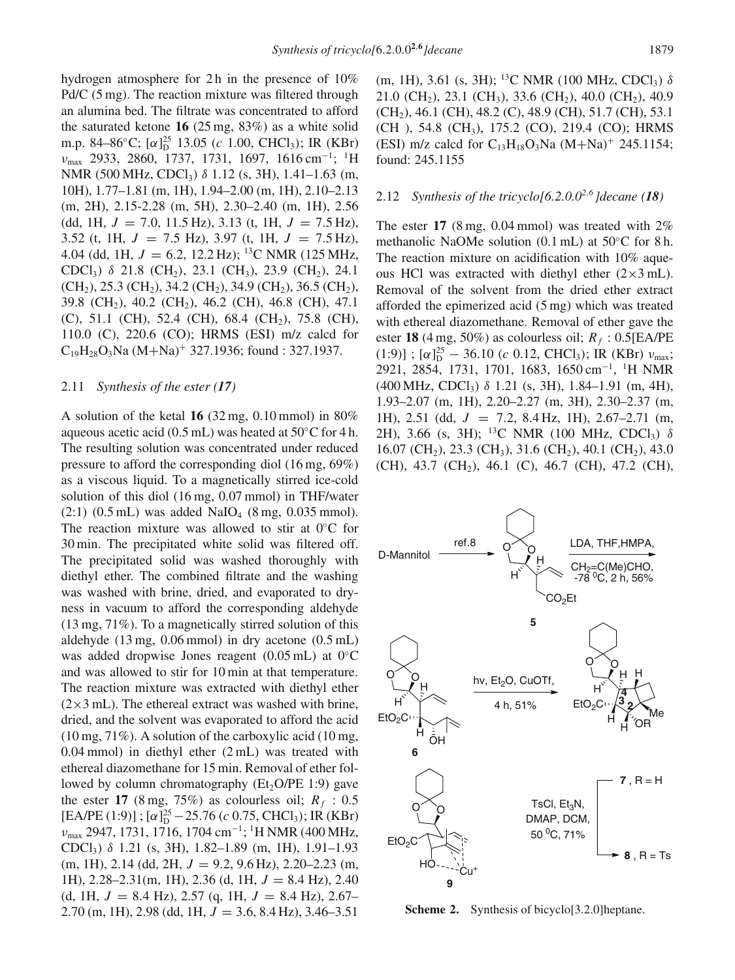hydrogen atmosphere for 2h in the presence of 10% Pd/C (5 mg). The reaction mixture was filtered through an alumina bed. The filtrate was concentrated to afford the saturated ketone **16** (25 mg, 83%) as a white solid m.p. 84–86°C; [ $\alpha$ ]<sup>25</sup> 13.05 (c 1.00, CHCl<sub>3</sub>); IR (KBr)  $v_{\text{max}}$  2933, 2860, 1737, 1731, 1697, 1616 cm<sup>-1</sup>; <sup>1</sup>H NMR (500 MHz, CDCl<sub>3</sub>) δ 1.12 (s, 3H), 1.41–1.63 (m, 10H), 1.77–1.81 (m, 1H), 1.94–2.00 (m, 1H), 2.10–2.13 (m, 2H), 2.15-2.28 (m, 5H), 2.30–2.40 (m, 1H), 2.56 (dd, 1H,  $J = 7.0$ , 11.5 Hz), 3.13 (t, 1H,  $J = 7.5$  Hz), 3.52 (t, 1H,  $J = 7.5$  Hz), 3.97 (t, 1H,  $J = 7.5$  Hz), 4.04 (dd, 1H,  $J = 6.2$ , 12.2 Hz); <sup>13</sup>C NMR (125 MHz, CDCl<sub>3</sub>)  $\delta$  21.8 (CH<sub>2</sub>), 23.1 (CH<sub>3</sub>), 23.9 (CH<sub>2</sub>), 24.1  $(CH<sub>2</sub>), 25.3 (CH<sub>2</sub>), 34.2 (CH<sub>2</sub>), 34.9 (CH<sub>2</sub>), 36.5 (CH<sub>2</sub>),$ 39.8 (CH<sub>2</sub>), 40.2 (CH<sub>2</sub>), 46.2 (CH), 46.8 (CH), 47.1 (C), 51.1 (CH), 52.4 (CH), 68.4 (CH<sub>2</sub>), 75.8 (CH), 110.0 (C), 220.6 (CO); HRMS (ESI) m/z calcd for  $C_{19}H_{28}O_3$ Na (M+Na)<sup>+</sup> 327.1936; found : 327.1937.

#### 2.11 *Synthesis of the ester (17)*

A solution of the ketal **16** (32 mg, 0.10 mmol) in 80% aqueous acetic acid (0.5 mL) was heated at  $50^{\circ}$ C for 4 h. The resulting solution was concentrated under reduced pressure to afford the corresponding diol (16 mg, 69%) as a viscous liquid. To a magnetically stirred ice-cold solution of this diol (16 mg, 0.07 mmol) in THF/water  $(2:1)$   $(0.5$  mL) was added NaIO<sub>4</sub>  $(8 \text{ mg}, 0.035 \text{ mmol})$ . The reaction mixture was allowed to stir at  $0°C$  for 30 min. The precipitated white solid was filtered off. The precipitated solid was washed thoroughly with diethyl ether. The combined filtrate and the washing was washed with brine, dried, and evaporated to dryness in vacuum to afford the corresponding aldehyde (13 mg, 71%). To a magnetically stirred solution of this aldehyde (13 mg, 0.06 mmol) in dry acetone (0.5 mL) was added dropwise Jones reagent (0.05 mL) at 0◦C and was allowed to stir for 10 min at that temperature. The reaction mixture was extracted with diethyl ether  $(2\times3$  mL). The ethereal extract was washed with brine, dried, and the solvent was evaporated to afford the acid  $(10 \text{ mg}, 71\%)$ . A solution of the carboxylic acid  $(10 \text{ mg},$ 0.04 mmol) in diethyl ether (2 mL) was treated with ethereal diazomethane for 15 min. Removal of ether followed by column chromatography ( $Et<sub>2</sub>O/PE$  1:9) gave the ester 17 (8 mg, 75%) as colourless oil;  $R_f$ : 0.5 [EA/PE (1:9)];  $[\alpha]_D^{25} - 25.76$  (c 0.75, CHCl<sub>3</sub>); IR (KBr)  $v_{\text{max}}$  2947, 1731, 1716, 1704 cm<sup>-1</sup>; <sup>1</sup>H NMR (400 MHz, CDCl<sub>3</sub>)  $\delta$  1.21 (s, 3H), 1.82–1.89 (m, 1H), 1.91–1.93  $(m, 1H)$ , 2.14 (dd, 2H,  $J = 9.2$ , 9.6 Hz), 2.20–2.23  $(m,$ 1H), 2.28–2.31(m, 1H), 2.36 (d, 1H,  $J = 8.4$  Hz), 2.40 (d, 1H,  $J = 8.4$  Hz), 2.57 (q, 1H,  $J = 8.4$  Hz), 2.67– 2.70 (m, 1H), 2.98 (dd, 1H,  $J = 3.6$ , 8.4 Hz), 3.46–3.51

(m, 1H), 3.61 (s, 3H); <sup>13</sup>C NMR (100 MHz, CDCl<sub>3</sub>)  $\delta$ 21.0 (CH<sub>2</sub>), 23.1 (CH<sub>3</sub>), 33.6 (CH<sub>2</sub>), 40.0 (CH<sub>2</sub>), 40.9  $(CH<sub>2</sub>), 46.1$  (CH), 48.2 (C), 48.9 (CH), 51.7 (CH), 53.1 (CH ), 54.8 (CH3), 175.2 (CO), 219.4 (CO); HRMS (ESI) m/z calcd for  $C_{13}H_{18}O_3$ Na  $(M+Na)^+$  245.1154; found: 245.1155

### 2.12 *Synthesis of the tricyclo[6.2.0.0<sup>2,6</sup> <i>]decane* (18)

The ester  $17$  (8 mg, 0.04 mmol) was treated with  $2\%$ methanolic NaOMe solution (0.1 mL) at 50◦C for 8 h. The reaction mixture on acidification with 10% aqueous HCl was extracted with diethyl ether  $(2\times3$  mL). Removal of the solvent from the dried ether extract afforded the epimerized acid (5 mg) which was treated with ethereal diazomethane. Removal of ether gave the ester **18** (4 mg, 50%) as colourless oil;  $R_f$ : 0.5[EA/PE  $(1:9)$ ];  $[\alpha]_D^{25}$  – 36.10 (c 0.12, CHCl<sub>3</sub>); IR (KBr)  $v_{\text{max}}$ ; 2921, 2854, 1731, 1701, 1683, 1650 cm−1, 1H NMR  $(400 \text{ MHz}, \text{CDCl}_3)$   $\delta$  1.21 (s, 3H), 1.84–1.91 (m, 4H), 1.93–2.07 (m, 1H), 2.20–2.27 (m, 3H), 2.30–2.37 (m, 1H), 2.51 (dd,  $J = 7.2$ , 8.4 Hz, 1H), 2.67–2.71 (m, 2H), 3.66 (s, 3H); <sup>13</sup>C NMR (100 MHz, CDCl<sub>3</sub>)  $\delta$ 16.07 (CH<sub>2</sub>), 23.3 (CH<sub>3</sub>), 31.6 (CH<sub>2</sub>), 40.1 (CH<sub>2</sub>), 43.0 (CH), 43.7 (CH<sub>2</sub>), 46.1 (C), 46.7 (CH), 47.2 (CH),



<span id="page-4-0"></span>**Scheme 2.** Synthesis of bicyclo[3.2.0]heptane.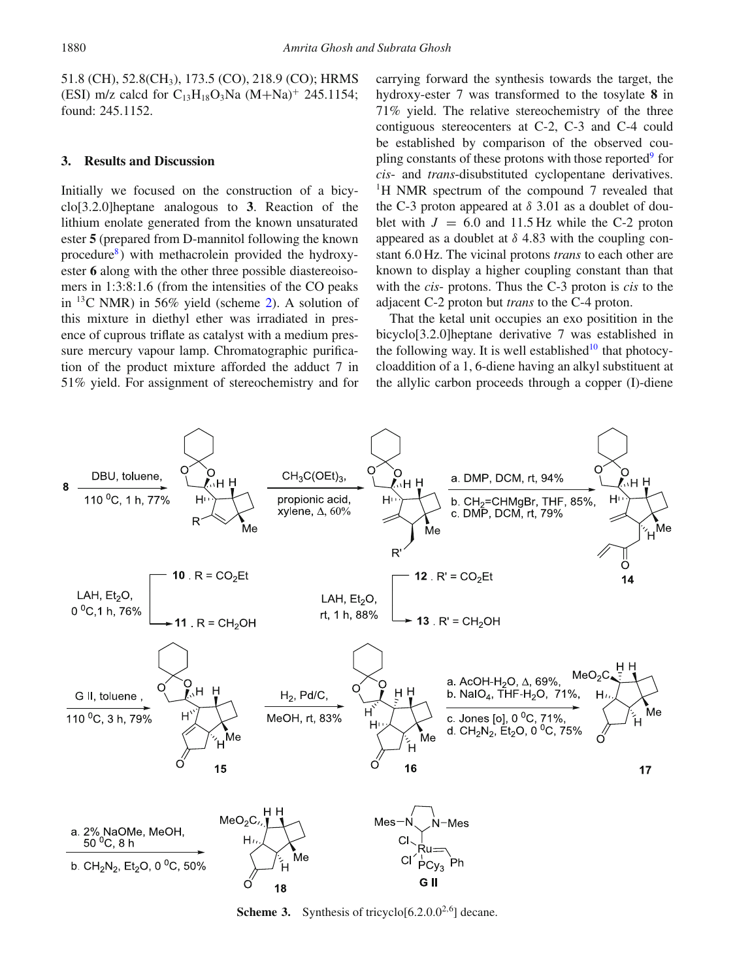51.8 (CH), 52.8(CH3), 173.5 (CO), 218.9 (CO); HRMS (ESI) m/z calcd for  $C_{13}H_{18}O_3Na$   $(M+Na)^+$  245.1154; found: 245.1152.

#### **3. Results and Discussion**

Initially we focused on the construction of a bicyclo[3.2.0]heptane analogous to **3**. Reaction of the lithium enolate generated from the known unsaturated ester **5** (prepared from D-mannitol following the known procedure $\delta$ ) with methacrolein provided the hydroxyester **6** along with the other three possible diastereoisomers in 1:3:8:1.6 (from the intensities of the CO peaks in  $^{13}$ C NMR) in 56% yield (scheme [2\)](#page-4-0). A solution of this mixture in diethyl ether was irradiated in presence of cuprous triflate as catalyst with a medium pressure mercury vapour lamp. Chromatographic purification of the product mixture afforded the adduct 7 in 51% yield. For assignment of stereochemistry and for carrying forward the synthesis towards the target, the hydroxy-ester 7 was transformed to the tosylate **8** in 71% yield. The relative stereochemistry of the three contiguous stereocenters at C-2, C-3 and C-4 could be established by comparison of the observed coupling constants of these protons with those reported<sup>9</sup> for *cis*- and *trans*-disubstituted cyclopentane derivatives. 1H NMR spectrum of the compound 7 revealed that the C-3 proton appeared at  $\delta$  3.01 as a doublet of doublet with  $J = 6.0$  and 11.5 Hz while the C-2 proton appeared as a doublet at  $\delta$  4.83 with the coupling constant 6.0 Hz. The vicinal protons *trans* to each other are known to display a higher coupling constant than that with the *cis*- protons. Thus the C-3 proton is *cis* to the adjacent C-2 proton but *trans* to the C-4 proton.

That the ketal unit occupies an exo positition in the bicyclo[3.2.0]heptane derivative 7 was established in the following way. It is well established<sup>10</sup> that photocycloaddition of a 1, 6-diene having an alkyl substituent at the allylic carbon proceeds through a copper (I)-diene



<span id="page-5-0"></span>**Scheme 3.** Synthesis of tricyclo $[6.2.0.0^{2.6}]$  decane.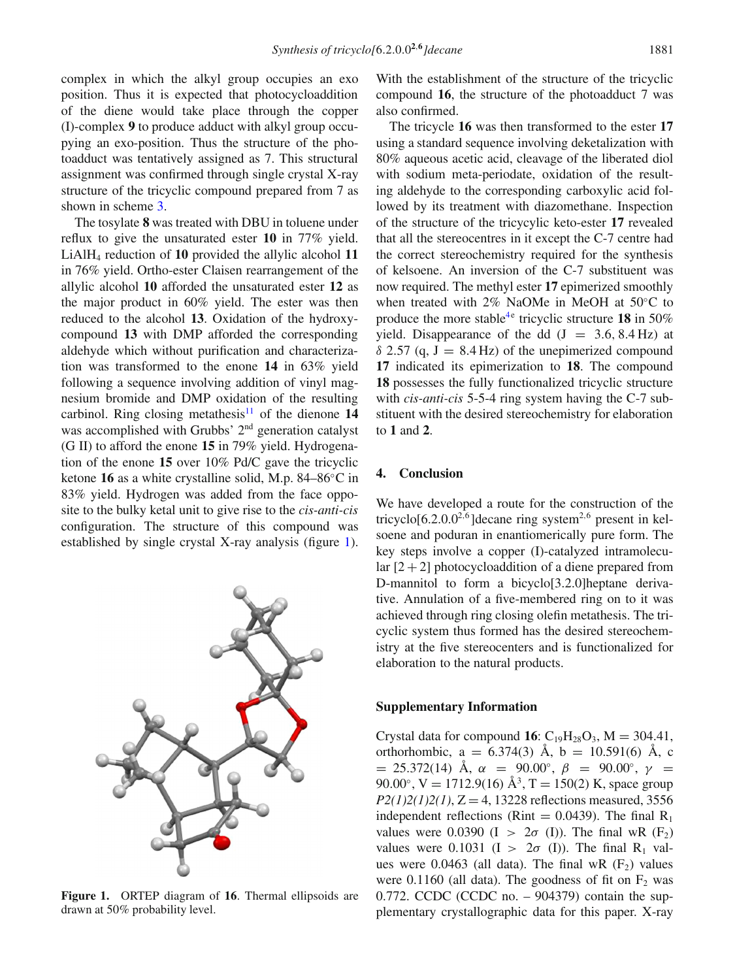complex in which the alkyl group occupies an exo position. Thus it is expected that photocycloaddition of the diene would take place through the copper (I)-complex **9** to produce adduct with alkyl group occupying an exo-position. Thus the structure of the photoadduct was tentatively assigned as 7. This structural assignment was confirmed through single crystal X-ray structure of the tricyclic compound prepared from 7 as shown in scheme [3.](#page-5-0)

The tosylate **8** was treated with DBU in toluene under reflux to give the unsaturated ester **10** in 77% yield. LiAlH4 reduction of **10** provided the allylic alcohol **11** in 76% yield. Ortho-ester Claisen rearrangement of the allylic alcohol **10** afforded the unsaturated ester **12** as the major product in 60% yield. The ester was then reduced to the alcohol **13**. Oxidation of the hydroxycompound **13** with DMP afforded the corresponding aldehyde which without purification and characterization was transformed to the enone **14** in 63% yield following a sequence involving addition of vinyl magnesium bromide and DMP oxidation of the resulting carbinol. Ring closing metathesis<sup>11</sup> of the dienone  $14$ was accomplished with Grubbs' 2<sup>nd</sup> generation catalyst (G II) to afford the enone **15** in 79% yield. Hydrogenation of the enone **15** over 10% Pd/C gave the tricyclic ketone **16** as a white crystalline solid, M.p. 84–86◦C in 83% yield. Hydrogen was added from the face opposite to the bulky ketal unit to give rise to the *cis-anti-cis* configuration. The structure of this compound was established by single crystal X-ray analysis (figure [1\)](#page-6-0).

<span id="page-6-0"></span>

**Figure 1.** ORTEP diagram of **16**. Thermal ellipsoids are drawn at 50% probability level.

With the establishment of the structure of the tricyclic compound **16**, the structure of the photoadduct 7 was also confirmed.

The tricycle **16** was then transformed to the ester **17** using a standard sequence involving deketalization with 80% aqueous acetic acid, cleavage of the liberated diol with sodium meta-periodate, oxidation of the resulting aldehyde to the corresponding carboxylic acid followed by its treatment with diazomethane. Inspection of the structure of the tricycylic keto-ester **17** revealed that all the stereocentres in it except the C-7 centre had the correct stereochemistry required for the synthesis of kelsoene. An inversion of the C-7 substituent was now required. The methyl ester **17** epimerized smoothly when treated with 2% NaOMe in MeOH at 50◦C to produce the more stable<sup>4e</sup> tricyclic structure 18 in 50% yield. Disappearance of the dd  $(J = 3.6, 8.4 \text{ Hz})$  at  $\delta$  2.57 (q, J = 8.4 Hz) of the unepimerized compound **17** indicated its epimerization to **18**. The compound **18** possesses the fully functionalized tricyclic structure with *cis-anti-cis* 5-5-4 ring system having the C-7 substituent with the desired stereochemistry for elaboration to **1** and **2**.

## **4. Conclusion**

We have developed a route for the construction of the tricyclo[6.2.0.0<sup>2,6</sup>] decane ring system<sup>2,6</sup> present in kelsoene and poduran in enantiomerically pure form. The key steps involve a copper (I)-catalyzed intramolecular  $[2+2]$  photocycloaddition of a diene prepared from D-mannitol to form a bicyclo[3.2.0]heptane derivative. Annulation of a five-membered ring on to it was achieved through ring closing olefin metathesis. The tricyclic system thus formed has the desired stereochemistry at the five stereocenters and is functionalized for elaboration to the natural products.

#### **Supplementary Information**

Crystal data for compound **16**:  $C_{19}H_{28}O_3$ ,  $M = 304.41$ , orthorhombic,  $a = 6.374(3)$  Å,  $b = 10.591(6)$  Å, c  $= 25.372(14)$  Å,  $\alpha = 90.00^{\circ}$ ,  $\beta = 90.00^{\circ}$ ,  $\gamma =$ 90.00°, V = 1712.9(16) Å<sup>3</sup>, T = 150(2) K, space group  $P2(1)2(1)2(1)$ ,  $Z = 4$ , 13228 reflections measured, 3556 independent reflections (Rint  $= 0.0439$ ). The final R<sub>1</sub> values were 0.0390 (I >  $2\sigma$  (I)). The final wR (F<sub>2</sub>) values were 0.1031 (I >  $2\sigma$  (I)). The final R<sub>1</sub> values were 0.0463 (all data). The final wR  $(F_2)$  values were 0.1160 (all data). The goodness of fit on  $F_2$  was 0.772. CCDC (CCDC no. – 904379) contain the supplementary crystallographic data for this paper. X-ray